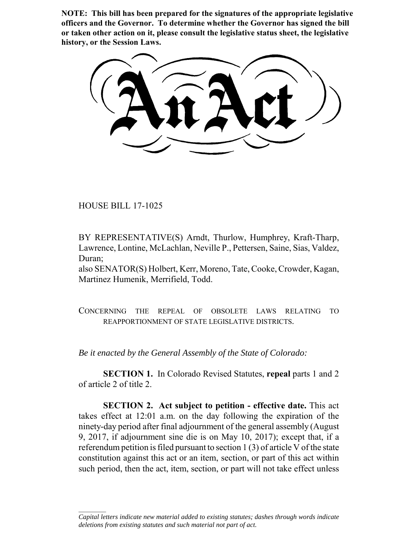**NOTE: This bill has been prepared for the signatures of the appropriate legislative officers and the Governor. To determine whether the Governor has signed the bill or taken other action on it, please consult the legislative status sheet, the legislative history, or the Session Laws.**

HOUSE BILL 17-1025

 $\frac{1}{2}$ 

BY REPRESENTATIVE(S) Arndt, Thurlow, Humphrey, Kraft-Tharp, Lawrence, Lontine, McLachlan, Neville P., Pettersen, Saine, Sias, Valdez, Duran;

also SENATOR(S) Holbert, Kerr, Moreno, Tate, Cooke, Crowder, Kagan, Martinez Humenik, Merrifield, Todd.

CONCERNING THE REPEAL OF OBSOLETE LAWS RELATING TO REAPPORTIONMENT OF STATE LEGISLATIVE DISTRICTS.

*Be it enacted by the General Assembly of the State of Colorado:*

**SECTION 1.** In Colorado Revised Statutes, **repeal** parts 1 and 2 of article 2 of title 2.

**SECTION 2. Act subject to petition - effective date.** This act takes effect at 12:01 a.m. on the day following the expiration of the ninety-day period after final adjournment of the general assembly (August 9, 2017, if adjournment sine die is on May 10, 2017); except that, if a referendum petition is filed pursuant to section 1 (3) of article V of the state constitution against this act or an item, section, or part of this act within such period, then the act, item, section, or part will not take effect unless

*Capital letters indicate new material added to existing statutes; dashes through words indicate deletions from existing statutes and such material not part of act.*